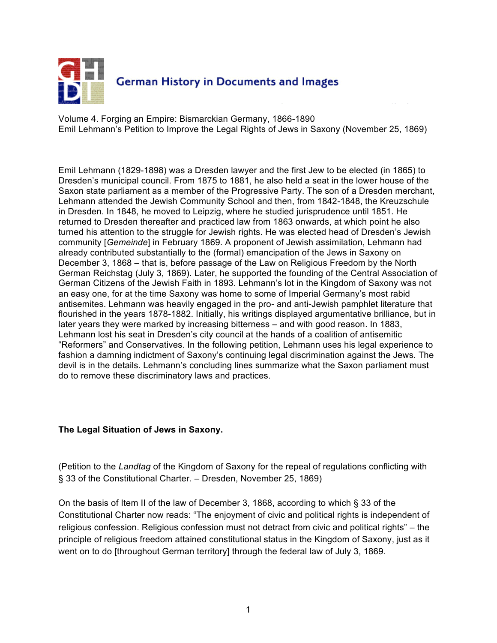

Volume 4. Forging an Empire: Bismarckian Germany, 1866-1890 Emil Lehmann's Petition to Improve the Legal Rights of Jews in Saxony (November 25, 1869)

Emil Lehmann (1829-1898) was a Dresden lawyer and the first Jew to be elected (in 1865) to Dresden's municipal council. From 1875 to 1881, he also held a seat in the lower house of the Saxon state parliament as a member of the Progressive Party. The son of a Dresden merchant, Lehmann attended the Jewish Community School and then, from 1842-1848, the Kreuzschule in Dresden. In 1848, he moved to Leipzig, where he studied jurisprudence until 1851. He returned to Dresden thereafter and practiced law from 1863 onwards, at which point he also turned his attention to the struggle for Jewish rights. He was elected head of Dresden's Jewish community [*Gemeinde*] in February 1869. A proponent of Jewish assimilation, Lehmann had already contributed substantially to the (formal) emancipation of the Jews in Saxony on December 3, 1868 – that is, before passage of the Law on Religious Freedom by the North German Reichstag (July 3, 1869). Later, he supported the founding of the Central Association of German Citizens of the Jewish Faith in 1893. Lehmann's lot in the Kingdom of Saxony was not an easy one, for at the time Saxony was home to some of Imperial Germany's most rabid antisemites. Lehmann was heavily engaged in the pro- and anti-Jewish pamphlet literature that flourished in the years 1878-1882. Initially, his writings displayed argumentative brilliance, but in later years they were marked by increasing bitterness – and with good reason. In 1883, Lehmann lost his seat in Dresden's city council at the hands of a coalition of antisemitic "Reformers" and Conservatives. In the following petition, Lehmann uses his legal experience to fashion a damning indictment of Saxony's continuing legal discrimination against the Jews. The devil is in the details. Lehmann's concluding lines summarize what the Saxon parliament must do to remove these discriminatory laws and practices.

#### **The Legal Situation of Jews in Saxony.**

(Petition to the *Landtag* of the Kingdom of Saxony for the repeal of regulations conflicting with § 33 of the Constitutional Charter. – Dresden, November 25, 1869)

On the basis of Item II of the law of December 3, 1868, according to which § 33 of the Constitutional Charter now reads: "The enjoyment of civic and political rights is independent of religious confession. Religious confession must not detract from civic and political rights" – the principle of religious freedom attained constitutional status in the Kingdom of Saxony, just as it went on to do [throughout German territory] through the federal law of July 3, 1869.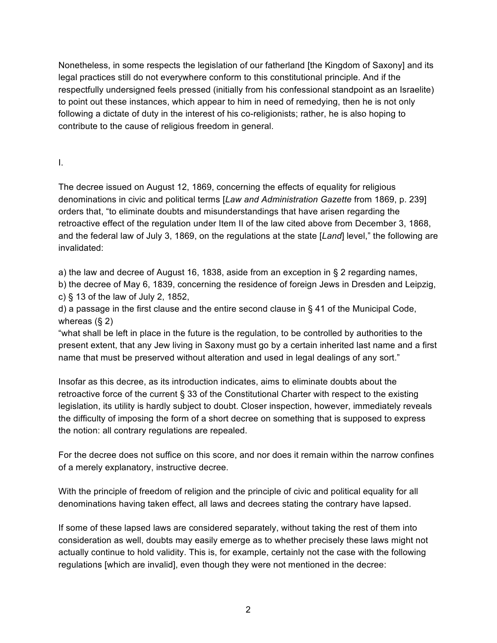Nonetheless, in some respects the legislation of our fatherland [the Kingdom of Saxony] and its legal practices still do not everywhere conform to this constitutional principle. And if the respectfully undersigned feels pressed (initially from his confessional standpoint as an Israelite) to point out these instances, which appear to him in need of remedying, then he is not only following a dictate of duty in the interest of his co-religionists; rather, he is also hoping to contribute to the cause of religious freedom in general.

### I.

The decree issued on August 12, 1869, concerning the effects of equality for religious denominations in civic and political terms [*Law and Administration Gazette* from 1869, p. 239] orders that, "to eliminate doubts and misunderstandings that have arisen regarding the retroactive effect of the regulation under Item II of the law cited above from December 3, 1868, and the federal law of July 3, 1869, on the regulations at the state [*Land*] level," the following are invalidated:

a) the law and decree of August 16, 1838, aside from an exception in § 2 regarding names,

b) the decree of May 6, 1839, concerning the residence of foreign Jews in Dresden and Leipzig, c) § 13 of the law of July 2, 1852,

d) a passage in the first clause and the entire second clause in § 41 of the Municipal Code, whereas (§ 2)

"what shall be left in place in the future is the regulation, to be controlled by authorities to the present extent, that any Jew living in Saxony must go by a certain inherited last name and a first name that must be preserved without alteration and used in legal dealings of any sort."

Insofar as this decree, as its introduction indicates, aims to eliminate doubts about the retroactive force of the current § 33 of the Constitutional Charter with respect to the existing legislation, its utility is hardly subject to doubt. Closer inspection, however, immediately reveals the difficulty of imposing the form of a short decree on something that is supposed to express the notion: all contrary regulations are repealed.

For the decree does not suffice on this score, and nor does it remain within the narrow confines of a merely explanatory, instructive decree.

With the principle of freedom of religion and the principle of civic and political equality for all denominations having taken effect, all laws and decrees stating the contrary have lapsed.

If some of these lapsed laws are considered separately, without taking the rest of them into consideration as well, doubts may easily emerge as to whether precisely these laws might not actually continue to hold validity. This is, for example, certainly not the case with the following regulations [which are invalid], even though they were not mentioned in the decree: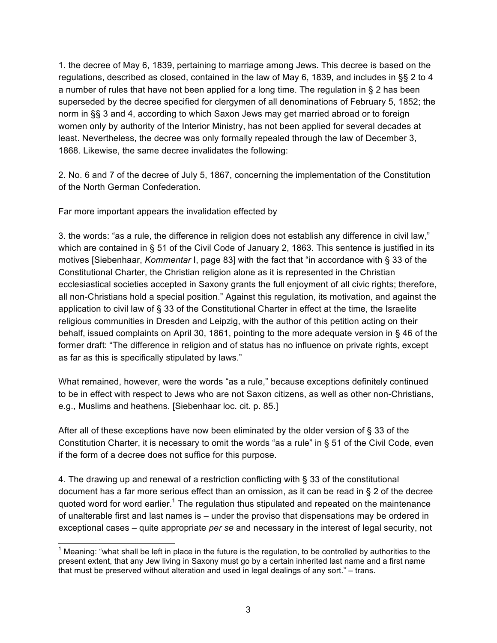1. the decree of May 6, 1839, pertaining to marriage among Jews. This decree is based on the regulations, described as closed, contained in the law of May 6, 1839, and includes in §§ 2 to 4 a number of rules that have not been applied for a long time. The regulation in § 2 has been superseded by the decree specified for clergymen of all denominations of February 5, 1852; the norm in §§ 3 and 4, according to which Saxon Jews may get married abroad or to foreign women only by authority of the Interior Ministry, has not been applied for several decades at least. Nevertheless, the decree was only formally repealed through the law of December 3, 1868. Likewise, the same decree invalidates the following:

2. No. 6 and 7 of the decree of July 5, 1867, concerning the implementation of the Constitution of the North German Confederation.

Far more important appears the invalidation effected by

3. the words: "as a rule, the difference in religion does not establish any difference in civil law," which are contained in § 51 of the Civil Code of January 2, 1863. This sentence is justified in its motives [Siebenhaar, *Kommentar* I, page 83] with the fact that "in accordance with § 33 of the Constitutional Charter, the Christian religion alone as it is represented in the Christian ecclesiastical societies accepted in Saxony grants the full enjoyment of all civic rights; therefore, all non-Christians hold a special position." Against this regulation, its motivation, and against the application to civil law of § 33 of the Constitutional Charter in effect at the time, the Israelite religious communities in Dresden and Leipzig, with the author of this petition acting on their behalf, issued complaints on April 30, 1861, pointing to the more adequate version in § 46 of the former draft: "The difference in religion and of status has no influence on private rights, except as far as this is specifically stipulated by laws."

What remained, however, were the words "as a rule," because exceptions definitely continued to be in effect with respect to Jews who are not Saxon citizens, as well as other non-Christians, e.g., Muslims and heathens. [Siebenhaar loc. cit. p. 85.]

After all of these exceptions have now been eliminated by the older version of § 33 of the Constitution Charter, it is necessary to omit the words "as a rule" in § 51 of the Civil Code, even if the form of a decree does not suffice for this purpose.

4. The drawing up and renewal of a restriction conflicting with § 33 of the constitutional document has a far more serious effect than an omission, as it can be read in § 2 of the decree quoted word for word earlier.<sup>1</sup> The regulation thus stipulated and repeated on the maintenance of unalterable first and last names is – under the proviso that dispensations may be ordered in exceptional cases – quite appropriate *per se* and necessary in the interest of legal security, not

1 Meaning: "what shall be left in place in the future is the regulation, to be controlled by authorities to the present extent, that any Jew living in Saxony must go by a certain inherited last name and a first name that must be preserved without alteration and used in legal dealings of any sort." – trans.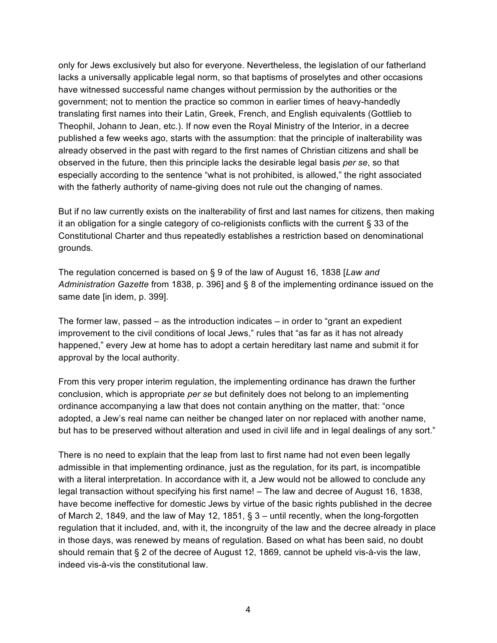only for Jews exclusively but also for everyone. Nevertheless, the legislation of our fatherland lacks a universally applicable legal norm, so that baptisms of proselytes and other occasions have witnessed successful name changes without permission by the authorities or the government; not to mention the practice so common in earlier times of heavy-handedly translating first names into their Latin, Greek, French, and English equivalents (Gottlieb to Theophil, Johann to Jean, etc.). If now even the Royal Ministry of the Interior, in a decree published a few weeks ago, starts with the assumption: that the principle of inalterability was already observed in the past with regard to the first names of Christian citizens and shall be observed in the future, then this principle lacks the desirable legal basis *per se*, so that especially according to the sentence "what is not prohibited, is allowed," the right associated with the fatherly authority of name-giving does not rule out the changing of names.

But if no law currently exists on the inalterability of first and last names for citizens, then making it an obligation for a single category of co-religionists conflicts with the current § 33 of the Constitutional Charter and thus repeatedly establishes a restriction based on denominational grounds.

The regulation concerned is based on § 9 of the law of August 16, 1838 [*Law and Administration Gazette* from 1838, p. 396] and § 8 of the implementing ordinance issued on the same date [in idem, p. 399].

The former law, passed – as the introduction indicates – in order to "grant an expedient improvement to the civil conditions of local Jews," rules that "as far as it has not already happened," every Jew at home has to adopt a certain hereditary last name and submit it for approval by the local authority.

From this very proper interim regulation, the implementing ordinance has drawn the further conclusion, which is appropriate *per se* but definitely does not belong to an implementing ordinance accompanying a law that does not contain anything on the matter, that: "once adopted, a Jew's real name can neither be changed later on nor replaced with another name, but has to be preserved without alteration and used in civil life and in legal dealings of any sort."

There is no need to explain that the leap from last to first name had not even been legally admissible in that implementing ordinance, just as the regulation, for its part, is incompatible with a literal interpretation. In accordance with it, a Jew would not be allowed to conclude any legal transaction without specifying his first name! – The law and decree of August 16, 1838, have become ineffective for domestic Jews by virtue of the basic rights published in the decree of March 2, 1849, and the law of May 12, 1851, § 3 – until recently, when the long-forgotten regulation that it included, and, with it, the incongruity of the law and the decree already in place in those days, was renewed by means of regulation. Based on what has been said, no doubt should remain that § 2 of the decree of August 12, 1869, cannot be upheld vis-à-vis the law, indeed vis-à-vis the constitutional law.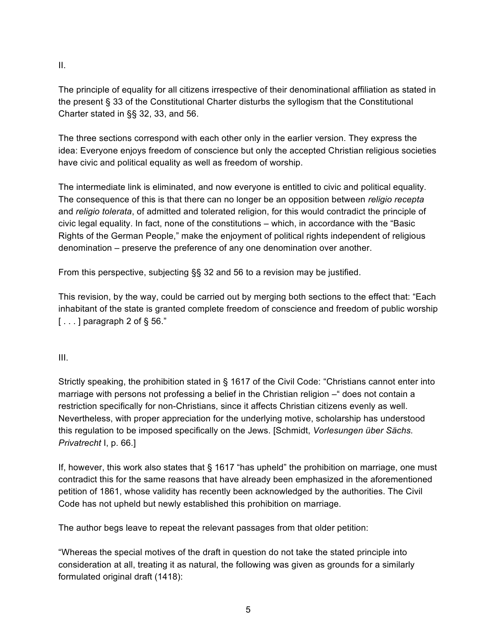II.

The principle of equality for all citizens irrespective of their denominational affiliation as stated in the present § 33 of the Constitutional Charter disturbs the syllogism that the Constitutional Charter stated in §§ 32, 33, and 56.

The three sections correspond with each other only in the earlier version. They express the idea: Everyone enjoys freedom of conscience but only the accepted Christian religious societies have civic and political equality as well as freedom of worship.

The intermediate link is eliminated, and now everyone is entitled to civic and political equality. The consequence of this is that there can no longer be an opposition between *religio recepta* and *religio tolerata*, of admitted and tolerated religion, for this would contradict the principle of civic legal equality. In fact, none of the constitutions – which, in accordance with the "Basic Rights of the German People," make the enjoyment of political rights independent of religious denomination – preserve the preference of any one denomination over another.

From this perspective, subjecting §§ 32 and 56 to a revision may be justified.

This revision, by the way, could be carried out by merging both sections to the effect that: "Each inhabitant of the state is granted complete freedom of conscience and freedom of public worship  $\lceil$ ...] paragraph 2 of § 56."

### III.

Strictly speaking, the prohibition stated in § 1617 of the Civil Code: "Christians cannot enter into marriage with persons not professing a belief in the Christian religion – " does not contain a restriction specifically for non-Christians, since it affects Christian citizens evenly as well. Nevertheless, with proper appreciation for the underlying motive, scholarship has understood this regulation to be imposed specifically on the Jews. [Schmidt, *Vorlesungen über Sächs. Privatrecht* I, p. 66.]

If, however, this work also states that § 1617 "has upheld" the prohibition on marriage, one must contradict this for the same reasons that have already been emphasized in the aforementioned petition of 1861, whose validity has recently been acknowledged by the authorities. The Civil Code has not upheld but newly established this prohibition on marriage.

The author begs leave to repeat the relevant passages from that older petition:

"Whereas the special motives of the draft in question do not take the stated principle into consideration at all, treating it as natural, the following was given as grounds for a similarly formulated original draft (1418):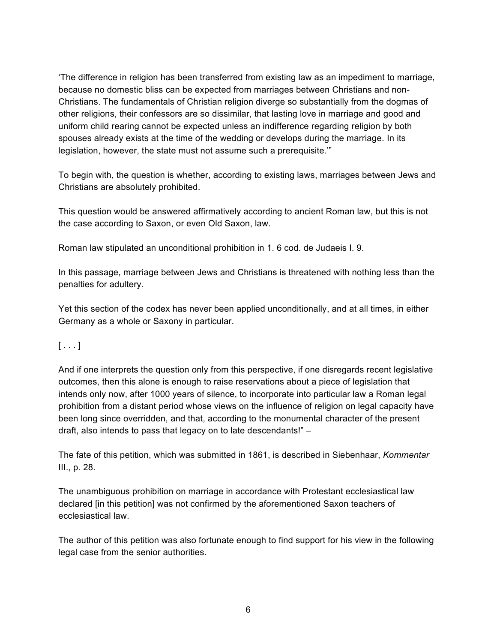'The difference in religion has been transferred from existing law as an impediment to marriage, because no domestic bliss can be expected from marriages between Christians and non-Christians. The fundamentals of Christian religion diverge so substantially from the dogmas of other religions, their confessors are so dissimilar, that lasting love in marriage and good and uniform child rearing cannot be expected unless an indifference regarding religion by both spouses already exists at the time of the wedding or develops during the marriage. In its legislation, however, the state must not assume such a prerequisite.'"

To begin with, the question is whether, according to existing laws, marriages between Jews and Christians are absolutely prohibited.

This question would be answered affirmatively according to ancient Roman law, but this is not the case according to Saxon, or even Old Saxon, law.

Roman law stipulated an unconditional prohibition in 1. 6 cod. de Judaeis I. 9.

In this passage, marriage between Jews and Christians is threatened with nothing less than the penalties for adultery.

Yet this section of the codex has never been applied unconditionally, and at all times, in either Germany as a whole or Saxony in particular.

 $[...]$ 

And if one interprets the question only from this perspective, if one disregards recent legislative outcomes, then this alone is enough to raise reservations about a piece of legislation that intends only now, after 1000 years of silence, to incorporate into particular law a Roman legal prohibition from a distant period whose views on the influence of religion on legal capacity have been long since overridden, and that, according to the monumental character of the present draft, also intends to pass that legacy on to late descendants!" –

The fate of this petition, which was submitted in 1861, is described in Siebenhaar, *Kommentar* III., p. 28.

The unambiguous prohibition on marriage in accordance with Protestant ecclesiastical law declared [in this petition] was not confirmed by the aforementioned Saxon teachers of ecclesiastical law.

The author of this petition was also fortunate enough to find support for his view in the following legal case from the senior authorities.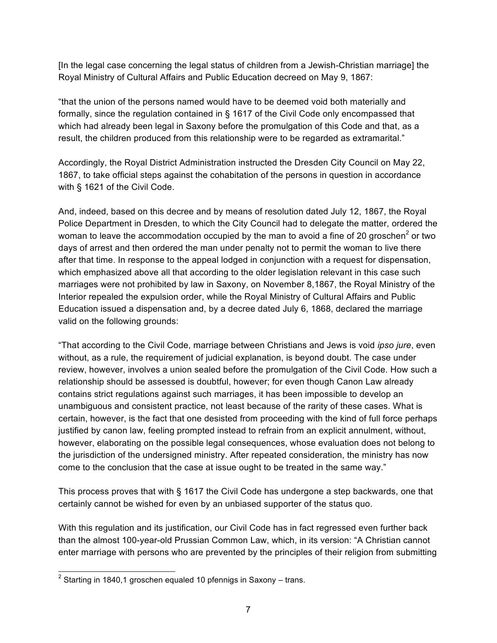[In the legal case concerning the legal status of children from a Jewish-Christian marriage] the Royal Ministry of Cultural Affairs and Public Education decreed on May 9, 1867:

"that the union of the persons named would have to be deemed void both materially and formally, since the regulation contained in § 1617 of the Civil Code only encompassed that which had already been legal in Saxony before the promulgation of this Code and that, as a result, the children produced from this relationship were to be regarded as extramarital."

Accordingly, the Royal District Administration instructed the Dresden City Council on May 22, 1867, to take official steps against the cohabitation of the persons in question in accordance with § 1621 of the Civil Code.

And, indeed, based on this decree and by means of resolution dated July 12, 1867, the Royal Police Department in Dresden, to which the City Council had to delegate the matter, ordered the woman to leave the accommodation occupied by the man to avoid a fine of 20 groschen<sup>2</sup> or two days of arrest and then ordered the man under penalty not to permit the woman to live there after that time. In response to the appeal lodged in conjunction with a request for dispensation, which emphasized above all that according to the older legislation relevant in this case such marriages were not prohibited by law in Saxony, on November 8,1867, the Royal Ministry of the Interior repealed the expulsion order, while the Royal Ministry of Cultural Affairs and Public Education issued a dispensation and, by a decree dated July 6, 1868, declared the marriage valid on the following grounds:

"That according to the Civil Code, marriage between Christians and Jews is void *ipso jure*, even without, as a rule, the requirement of judicial explanation, is beyond doubt. The case under review, however, involves a union sealed before the promulgation of the Civil Code. How such a relationship should be assessed is doubtful, however; for even though Canon Law already contains strict regulations against such marriages, it has been impossible to develop an unambiguous and consistent practice, not least because of the rarity of these cases. What is certain, however, is the fact that one desisted from proceeding with the kind of full force perhaps justified by canon law, feeling prompted instead to refrain from an explicit annulment, without, however, elaborating on the possible legal consequences, whose evaluation does not belong to the jurisdiction of the undersigned ministry. After repeated consideration, the ministry has now come to the conclusion that the case at issue ought to be treated in the same way."

This process proves that with § 1617 the Civil Code has undergone a step backwards, one that certainly cannot be wished for even by an unbiased supporter of the status quo.

With this regulation and its justification, our Civil Code has in fact regressed even further back than the almost 100-year-old Prussian Common Law, which, in its version: "A Christian cannot enter marriage with persons who are prevented by the principles of their religion from submitting

2 Starting in 1840,1 groschen equaled 10 pfennigs in Saxony – trans.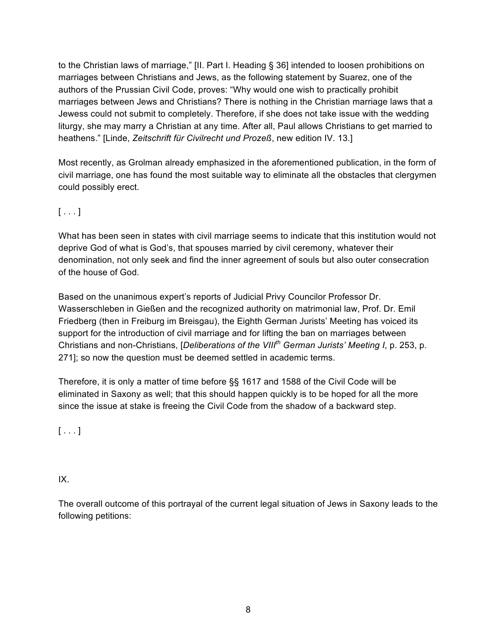to the Christian laws of marriage," [II. Part I. Heading § 36] intended to loosen prohibitions on marriages between Christians and Jews, as the following statement by Suarez, one of the authors of the Prussian Civil Code, proves: "Why would one wish to practically prohibit marriages between Jews and Christians? There is nothing in the Christian marriage laws that a Jewess could not submit to completely. Therefore, if she does not take issue with the wedding liturgy, she may marry a Christian at any time. After all, Paul allows Christians to get married to heathens." [Linde, *Zeitschrift für Civilrecht und Prozeß*, new edition IV. 13.]

Most recently, as Grolman already emphasized in the aforementioned publication, in the form of civil marriage, one has found the most suitable way to eliminate all the obstacles that clergymen could possibly erect.

# $[\ldots]$

What has been seen in states with civil marriage seems to indicate that this institution would not deprive God of what is God's, that spouses married by civil ceremony, whatever their denomination, not only seek and find the inner agreement of souls but also outer consecration of the house of God.

Based on the unanimous expert's reports of Judicial Privy Councilor Professor Dr. Wasserschleben in Gießen and the recognized authority on matrimonial law, Prof. Dr. Emil Friedberg (then in Freiburg im Breisgau), the Eighth German Jurists' Meeting has voiced its support for the introduction of civil marriage and for lifting the ban on marriages between Christians and non-Christians, [*Deliberations of the VIIIth German Jurists' Meeting I*, p. 253, p. 271]; so now the question must be deemed settled in academic terms.

Therefore, it is only a matter of time before §§ 1617 and 1588 of the Civil Code will be eliminated in Saxony as well; that this should happen quickly is to be hoped for all the more since the issue at stake is freeing the Civil Code from the shadow of a backward step.

 $[ \ldots ]$ 

# IX.

The overall outcome of this portrayal of the current legal situation of Jews in Saxony leads to the following petitions: